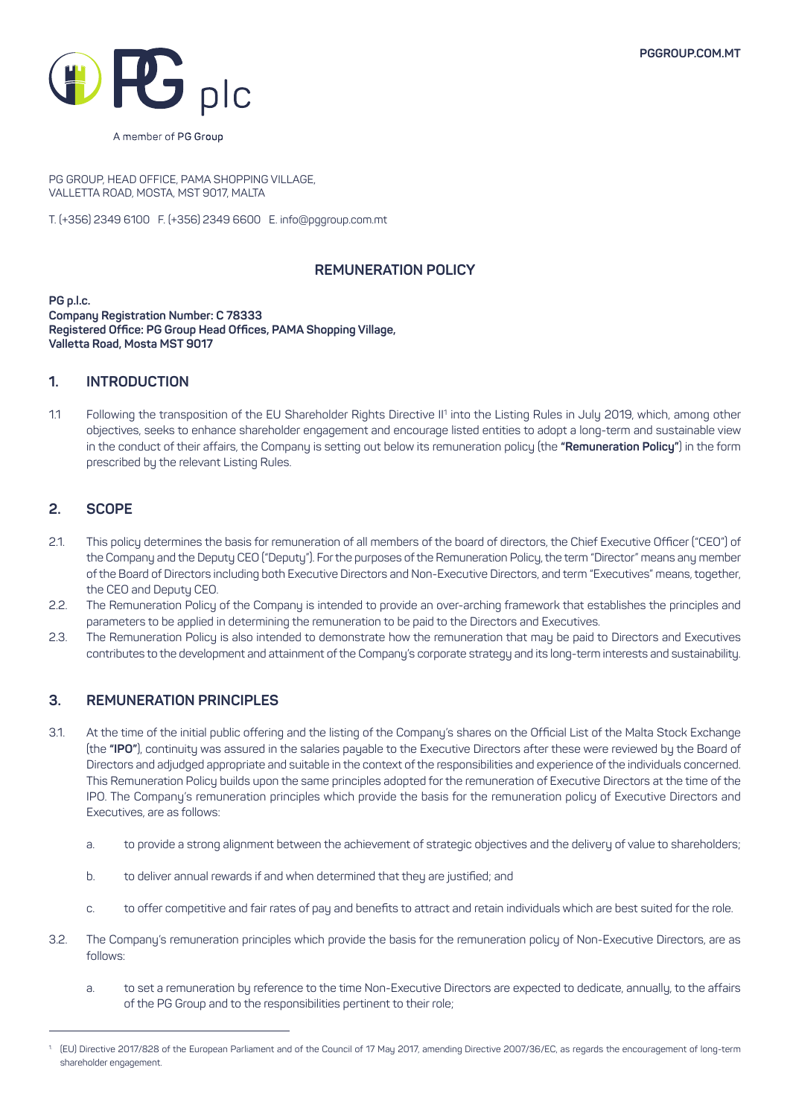

A member of PG Group

PG GROUP, HEAD OFFICE, PAMA SHOPPING VILLAGE, VALLETTA ROAD, MOSTA, MST 9017, MALTA

T. (+356) 2349 6100 F. (+356) 2349 6600 E. info@pggroup.com.mt

## **REMUNERATION POLICY**

**PG p.l.c. Company Registration Number: C 78333 Registered Office: PG Group Head Offices, PAMA Shopping Village, Valletta Road, Mosta MST 9017**

## **1. INTRODUCTION**

1.1 Following the transposition of the EU Shareholder Rights Directive II1 into the Listing Rules in July 2019, which, among other objectives, seeks to enhance shareholder engagement and encourage listed entities to adopt a long-term and sustainable view in the conduct of their affairs, the Company is setting out below its remuneration policy (the **"Remuneration Policy"**) in the form prescribed by the relevant Listing Rules.

# **2. SCOPE**

- 2.1. This policy determines the basis for remuneration of all members of the board of directors, the Chief Executive Officer ("CEO") of the Company and the Deputy CEO ("Deputy"). For the purposes of the Remuneration Policy, the term "Director" means any member of the Board of Directors including both Executive Directors and Non-Executive Directors, and term "Executives" means, together, the CEO and Deputy CEO.
- 2.2. The Remuneration Policy of the Company is intended to provide an over-arching framework that establishes the principles and parameters to be applied in determining the remuneration to be paid to the Directors and Executives.
- 2.3. The Remuneration Policy is also intended to demonstrate how the remuneration that may be paid to Directors and Executives contributes to the development and attainment of the Company's corporate strategy and its long-term interests and sustainability.

# **3. REMUNERATION PRINCIPLES**

- 3.1. At the time of the initial public offering and the listing of the Company's shares on the Official List of the Malta Stock Exchange (the **"IPO"**), continuity was assured in the salaries payable to the Executive Directors after these were reviewed by the Board of Directors and adjudged appropriate and suitable in the context of the responsibilities and experience of the individuals concerned. This Remuneration Policy builds upon the same principles adopted for the remuneration of Executive Directors at the time of the IPO. The Company's remuneration principles which provide the basis for the remuneration policy of Executive Directors and Executives, are as follows:
	- a. to provide a strong alignment between the achievement of strategic objectives and the delivery of value to shareholders;
	- b. to deliver annual rewards if and when determined that they are justified; and
	- c. to offer competitive and fair rates of pay and benefits to attract and retain individuals which are best suited for the role.
- 3.2. The Company's remuneration principles which provide the basis for the remuneration policy of Non-Executive Directors, are as follows:
	- a. to set a remuneration by reference to the time Non-Executive Directors are expected to dedicate, annually, to the affairs of the PG Group and to the responsibilities pertinent to their role;

<sup>1.</sup> (EU) Directive 2017/828 of the European Parliament and of the Council of 17 May 2017, amending Directive 2007/36/EC, as regards the encouragement of long-term shareholder engagement.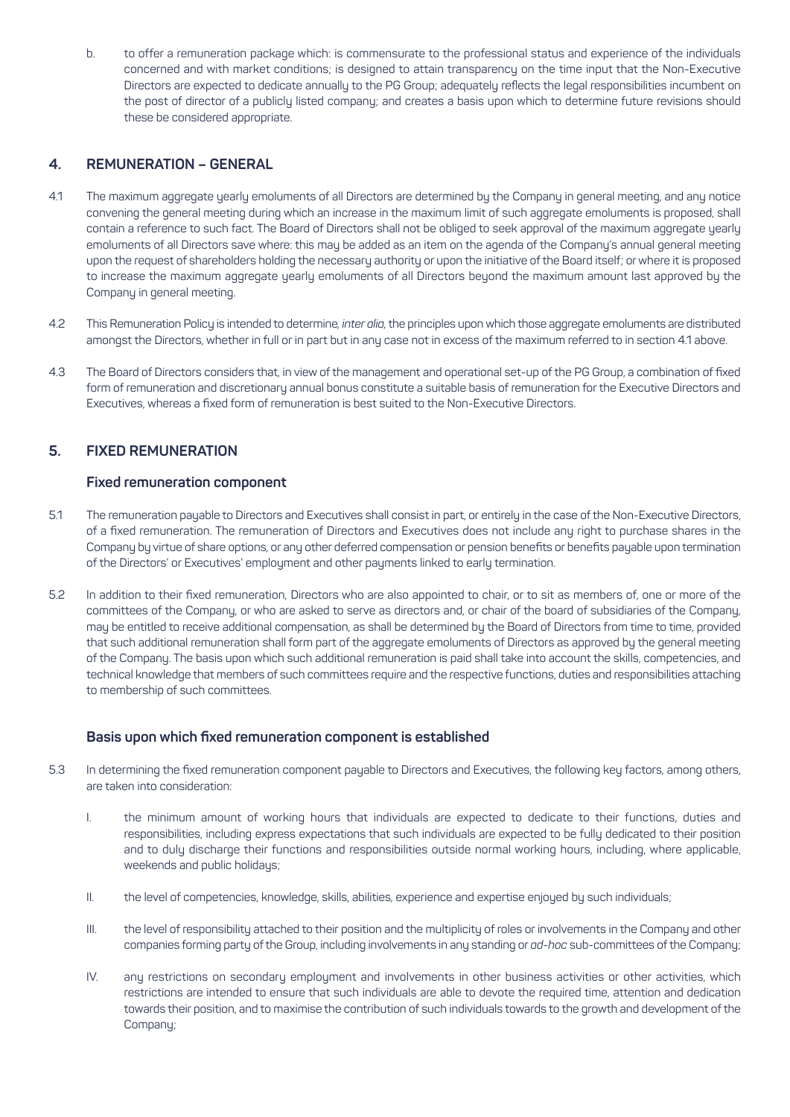b. to offer a remuneration package which: is commensurate to the professional status and experience of the individuals concerned and with market conditions; is designed to attain transparency on the time input that the Non-Executive Directors are expected to dedicate annually to the PG Group; adequately reflects the legal responsibilities incumbent on the post of director of a publicly listed company; and creates a basis upon which to determine future revisions should these be considered appropriate.

# **4. REMUNERATION – GENERAL**

- 4.1 The maximum aggregate yearly emoluments of all Directors are determined by the Company in general meeting, and any notice convening the general meeting during which an increase in the maximum limit of such aggregate emoluments is proposed, shall contain a reference to such fact. The Board of Directors shall not be obliged to seek approval of the maximum aggregate yearly emoluments of all Directors save where: this may be added as an item on the agenda of the Company's annual general meeting upon the request of shareholders holding the necessary authority or upon the initiative of the Board itself; or where it is proposed to increase the maximum aggregate yearly emoluments of all Directors beyond the maximum amount last approved by the Company in general meeting.
- 4.2 This Remuneration Policy is intended to determine*, inter alia,* the principles upon which those aggregate emoluments are distributed amongst the Directors, whether in full or in part but in any case not in excess of the maximum referred to in section 4.1 above.
- 4.3 The Board of Directors considers that, in view of the management and operational set-up of the PG Group, a combination of fixed form of remuneration and discretionary annual bonus constitute a suitable basis of remuneration for the Executive Directors and Executives, whereas a fixed form of remuneration is best suited to the Non-Executive Directors.

## **5. FIXED REMUNERATION**

#### **Fixed remuneration component**

- 5.1 The remuneration payable to Directors and Executives shall consist in part, or entirely in the case of the Non-Executive Directors, of a fixed remuneration. The remuneration of Directors and Executives does not include any right to purchase shares in the Company by virtue of share options, or any other deferred compensation or pension benefits or benefits payable upon termination of the Directors' or Executives' employment and other payments linked to early termination.
- 5.2 In addition to their fixed remuneration, Directors who are also appointed to chair, or to sit as members of, one or more of the committees of the Company, or who are asked to serve as directors and, or chair of the board of subsidiaries of the Company, may be entitled to receive additional compensation, as shall be determined by the Board of Directors from time to time, provided that such additional remuneration shall form part of the aggregate emoluments of Directors as approved by the general meeting of the Company. The basis upon which such additional remuneration is paid shall take into account the skills, competencies, and technical knowledge that members of such committees require and the respective functions, duties and responsibilities attaching to membership of such committees.

#### **Basis upon which fixed remuneration component is established**

- 5.3 In determining the fixed remuneration component payable to Directors and Executives, the following key factors, among others, are taken into consideration:
	- I. the minimum amount of working hours that individuals are expected to dedicate to their functions, duties and responsibilities, including express expectations that such individuals are expected to be fully dedicated to their position and to duly discharge their functions and responsibilities outside normal working hours, including, where applicable, weekends and public holidays;
	- II. the level of competencies, knowledge, skills, abilities, experience and expertise enjoued by such individuals;
	- III. the level of responsibility attached to their position and the multiplicity of roles or involvements in the Company and other companies forming party of the Group, including involvements in any standing or *ad-hoc* sub-committees of the Company;
	- IV. any restrictions on secondary employment and involvements in other business activities or other activities, which restrictions are intended to ensure that such individuals are able to devote the required time, attention and dedication towards their position, and to maximise the contribution of such individuals towards to the growth and development of the Company;